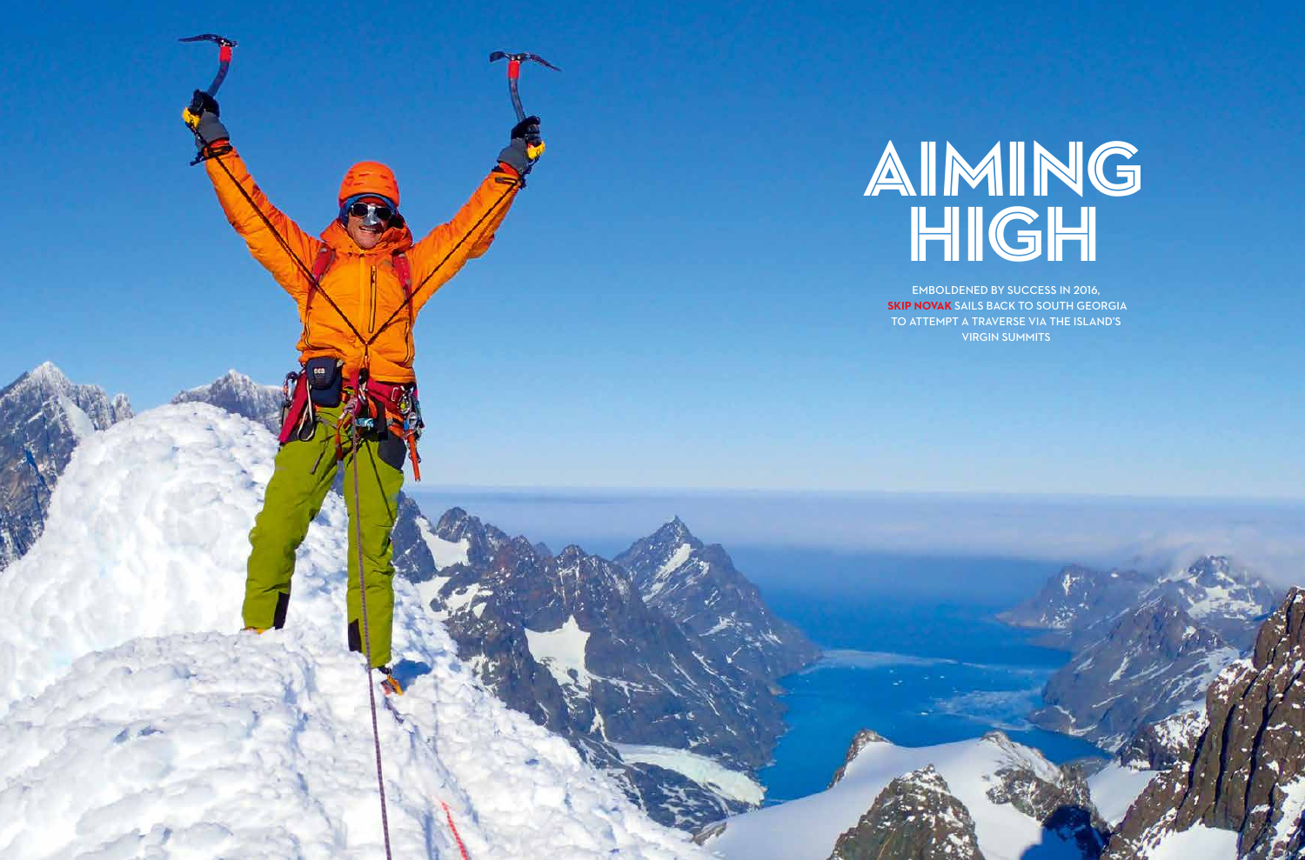

# AIMING HIGH

Emboldened by success in 2016, **Skip Novak** sails back to south georgia to attempt a traverse via the island's virgin summits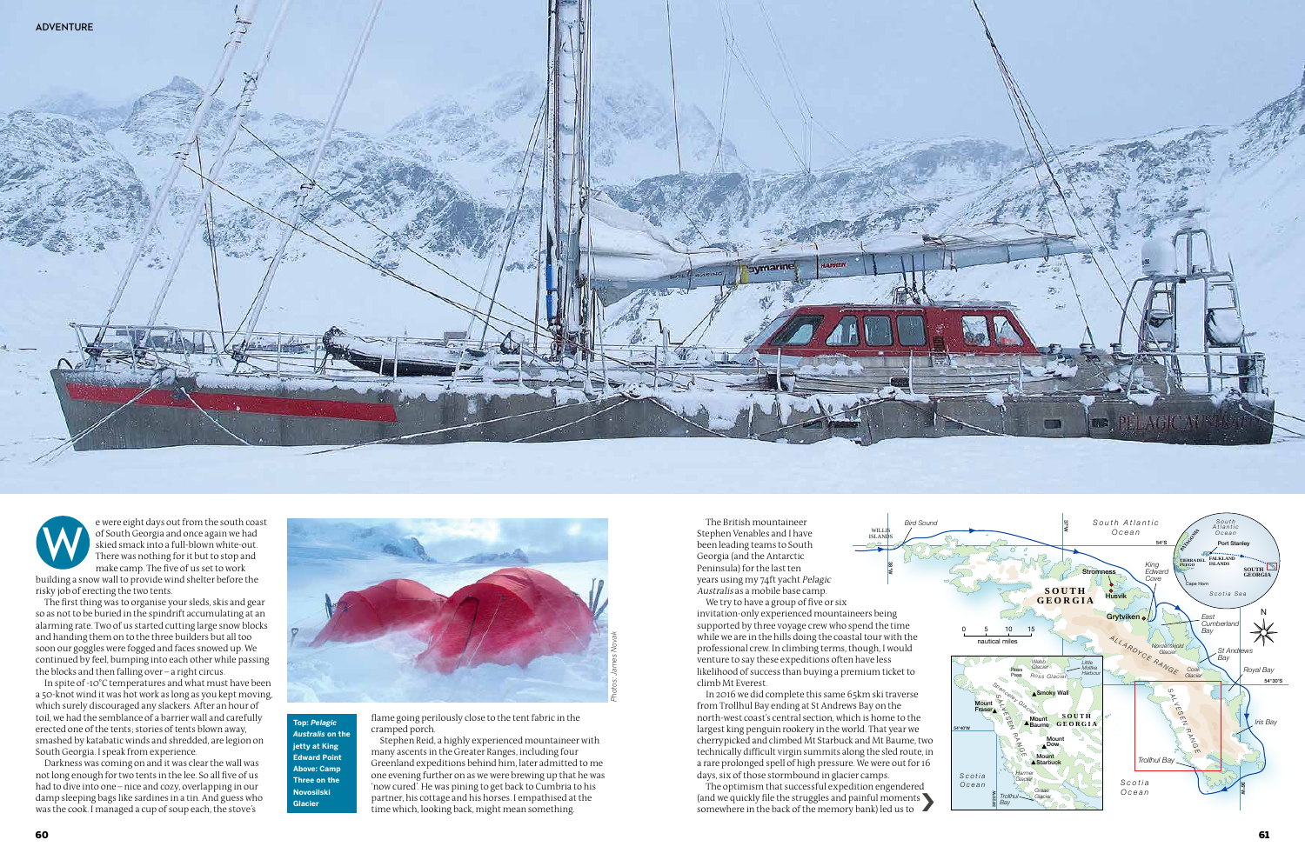e were eight days out from the south coast of South Georgia and once again we had skied smack into a full-blown white-out. There was nothing for it but to stop and make camp. The five of us set to work

building a snow wall to provide wind shelter before the risky job of erecting the two tents.

The first thing was to organise your sleds, skis and gear so as not to be buried in the spindrift accumulating at an alarming rate. Two of us started cutting large snow blocks and handing them on to the three builders but all too soon our goggles were fogged and faces snowed up. We continued by feel, bumping into each other while passing the blocks and then falling over – a right circus.

In spite of -10°C temperatures and what must have been a 50-knot wind it was hot work as long as you kept moving, which surely discouraged any slackers. After an hour of toil, we had the semblance of a barrier wall and carefully erected one of the tents; stories of tents blown away, smashed by katabatic winds and shredded, are legion on South Georgia. I speak from experience.

Darkness was coming on and it was clear the wall was not long enough for two tents in the lee. So all five of us had to dive into one – nice and cozy, overlapping in our damp sleeping bags like sardines in a tin. And guess who was the cook. I managed a cup of soup each, the stove's

We try to have a group of five or six invitation-only experienced mountaineers being supported by three voyage crew who spend the time while we are in the hills doing the coastal tour with the professional crew. In climbing terms, though, I would venture to say these expeditions often have less likelihood of success than buying a premium ticket to climb Mt Everest.



38°W WILL ISLANDS *Bird Sound*

The optimism that successful expedition engendered somewhere in the back of the memory bank) led us to



**Novesilski**<br> **Glacier** and his horses. I empathised at the and painful moments of the struggles and painful moments and painful moments of the which, looking back, might mean something. Stephen Reid, a highly experienced mountaineer with many ascents in the Greater Ranges, including four Greenland expeditions behind him, later admitted to me one evening further on as we were brewing up that he was 'now cured'. He was pining to get back to Cumbria to his partner, his cottage and his horses. I empathised at the time which, looking back, might mean something.



The British mountaineer Stephen Venables and I have been leading teams to South Georgia (and the Antarctic Peninsula) for the last ten years using my 74ft yacht Pelagic Australis as a mobile base camp.

In 2016 we did complete this same 65km ski traverse from Trollhul Bay ending at St Andrews Bay on the north-west coast's central section, which is home to the largest king penguin rookery in the world. That year we cherrypicked and climbed Mt Starbuck and Mt Baume, two technically difficult virgin summits along the sled route, in a rare prolonged spell of high pressure. We were out for 16 days, six of those stormbound in glacier camps.

flame going perilously close to the tent fabric in the cramped porch.

**Top:** *Pelagic Australis* **on the jetty at King Edward Point Above: Camp Three on the Novosilski** 

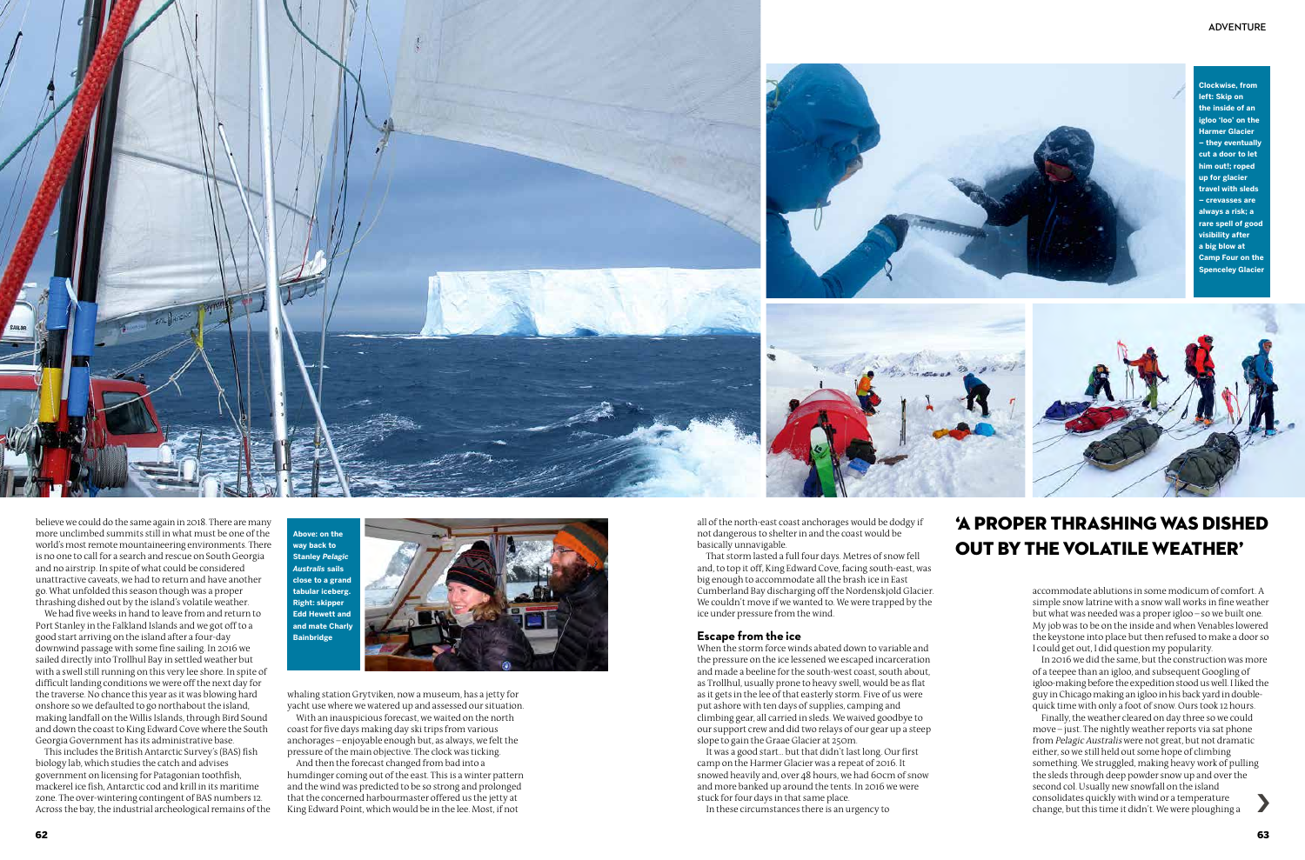





believe we could do the same again in 2018. There are many more unclimbed summits still in what must be one of the world's most remote mountaineering environments. There is no one to call for a search and rescue on South Georgia and no airstrip. In spite of what could be considered unattractive caveats, we had to return and have another go. What unfolded this season though was a proper thrashing dished out by the island's volatile weather.

We had five weeks in hand to leave from and return to Port Stanley in the Falkland Islands and we got off to a good start arriving on the island after a four-day downwind passage with some fine sailing. In 2016 we sailed directly into Trollhul Bay in settled weather but with a swell still running on this very lee shore. In spite of difficult landing conditions we were off the next day for the traverse. No chance this year as it was blowing hard onshore so we defaulted to go northabout the island, making landfall on the Willis Islands, through Bird Sound and down the coast to King Edward Cove where the South Georgia Government has its administrative base.

This includes the British Antarctic Survey's (BAS) fish biology lab, which studies the catch and advises government on licensing for Patagonian toothfish, mackerel ice fish, Antarctic cod and krill in its maritime zone. The over-wintering contingent of BAS numbers 12. Across the bay, the industrial archeological remains of the whaling station Grytviken, now a museum, has a jetty for yacht use where we watered up and assessed our situation. With an inauspicious forecast, we waited on the north

coast for five days making day ski trips from various anchorages – enjoyable enough but, as always, we felt the pressure of the main objective. The clock was ticking.

And then the forecast changed from bad into a humdinger coming out of the east. This is a winter pattern and the wind was predicted to be so strong and prolonged that the concerned harbourmaster offered us the jetty at King Edward Point, which would be in the lee. Most, if not

all of the north-east coast anchorages would be dodgy if not dangerous to shelter in and the coast would be basically unnavigable.

That storm lasted a full four days. Metres of snow fell and, to top it off, King Edward Cove, facing south-east, was big enough to accommodate all the brash ice in East Cumberland Bay discharging off the Nordenskjold Glacier. We couldn't move if we wanted to. We were trapped by the ice under pressure from the wind.

### **Escape from the ice**

When the storm force winds abated down to variable and the pressure on the ice lessened we escaped incarceration and made a beeline for the south-west coast, south about, as Trollhul, usually prone to heavy swell, would be as flat as it gets in the lee of that easterly storm. Five of us were put ashore with ten days of supplies, camping and climbing gear, all carried in sleds. We waived goodbye to our support crew and did two relays of our gear up a steep slope to gain the Graae Glacier at 250m.

It was a good start... but that didn't last long. Our first camp on the Harmer Glacier was a repeat of 2016. It snowed heavily and, over 48 hours, we had 60cm of snow and more banked up around the tents. In 2016 we were stuck for four days in that same place.

In these circumstances there is an urgency to

accommodate ablutions in some modicum of comfort. A simple snow latrine with a snow wall works in fine weather but what was needed was a proper igloo – so we built one. My job was to be on the inside and when Venables lowered the keystone into place but then refused to make a door so I could get out, I did question my popularity.

In 2016 we did the same, but the construction was more of a teepee than an igloo, and subsequent Googling of igloo-making before the expedition stood us well. I liked the guy in Chicago making an igloo in his back yard in doublequick time with only a foot of snow. Ours took 12 hours.

Finally, the weather cleared on day three so we could move – just. The nightly weather reports via sat phone from Pelagic Australis were not great, but not dramatic either, so we still held out some hope of climbing something. We struggled, making heavy work of pulling the sleds through deep powder snow up and over the second col. Usually new snowfall on the island consolidates quickly with wind or a temperature change, but this time it didn't. We were ploughing a ›

**Above: on the way back to Stanley** *Pelagic Australis* **sails close to a grand tabular iceberg. Right: skipper Edd Hewett and and mate Charly Bainbridge**



**Clockwise, from left: Skip on the inside of an igloo 'loo' on the Harmer Glacier – they eventually cut a door to let him out!; roped up for glacier travel with sleds – crevasses are always a risk; a rare spell of good visibility after a big blow at Camp Four on the Spenceley Glacier**

## 'a proper thrashing was dished out by the volatile weather'

#### **adventure**